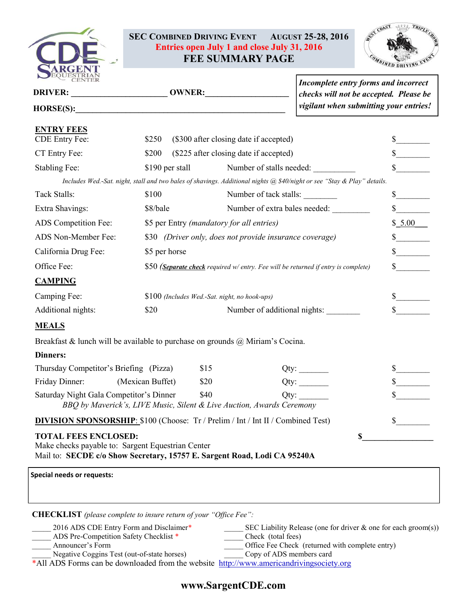

## **SEC COMBINED DRIVING EVENT AUGUST 25-28, 2016 Entries open July 1 and close July 31, 2016 FEE SUMMARY PAGE**



| PEQUESTRIAL                                                                                                                                                       |                                                                                    |                                                         |                                                                                                                         | Incomplete entry forms and incorrect<br>checks will not be accepted. Please be |  |  |
|-------------------------------------------------------------------------------------------------------------------------------------------------------------------|------------------------------------------------------------------------------------|---------------------------------------------------------|-------------------------------------------------------------------------------------------------------------------------|--------------------------------------------------------------------------------|--|--|
| HORSE(S):                                                                                                                                                         |                                                                                    |                                                         | vigilant when submitting your entries!                                                                                  |                                                                                |  |  |
| <b>ENTRY FEES</b>                                                                                                                                                 |                                                                                    |                                                         |                                                                                                                         |                                                                                |  |  |
| CDE Entry Fee:                                                                                                                                                    | \$250                                                                              | (\$300 after closing date if accepted)                  |                                                                                                                         |                                                                                |  |  |
| CT Entry Fee:                                                                                                                                                     | \$200                                                                              | (\$225 after closing date if accepted)                  |                                                                                                                         | $\mathbb{S}$                                                                   |  |  |
| Stabling Fee:                                                                                                                                                     | \$190 per stall                                                                    |                                                         | Number of stalls needed:                                                                                                | $\frac{\text{S}}{\text{S}}$                                                    |  |  |
|                                                                                                                                                                   |                                                                                    |                                                         | Includes Wed.-Sat. night, stall and two bales of shavings. Additional nights @ \$40/night or see "Stay & Play" details. |                                                                                |  |  |
| Tack Stalls:                                                                                                                                                      | \$100                                                                              |                                                         | Number of tack stalls:                                                                                                  | $\frac{\text{S}}{\text{S}}$                                                    |  |  |
| Extra Shavings:                                                                                                                                                   | \$8/bale                                                                           |                                                         | Number of extra bales needed:                                                                                           | $\mathbb{S}$                                                                   |  |  |
| ADS Competition Fee:                                                                                                                                              |                                                                                    | \$5 per Entry (mandatory for all entries)               |                                                                                                                         |                                                                                |  |  |
| ADS Non-Member Fee:                                                                                                                                               |                                                                                    | \$30 (Driver only, does not provide insurance coverage) |                                                                                                                         |                                                                                |  |  |
| California Drug Fee:                                                                                                                                              | \$5 per horse                                                                      |                                                         |                                                                                                                         |                                                                                |  |  |
| Office Fee:                                                                                                                                                       | \$50 (Separate check required w/ entry. Fee will be returned if entry is complete) | $\mathbb{S}$                                            |                                                                                                                         |                                                                                |  |  |
| <b>CAMPING</b>                                                                                                                                                    |                                                                                    |                                                         |                                                                                                                         |                                                                                |  |  |
| Camping Fee:                                                                                                                                                      |                                                                                    | \$100 (Includes Wed.-Sat. night, no hook-ups)           |                                                                                                                         | $\frac{\text{S}}{\text{S}}$                                                    |  |  |
| Additional nights:                                                                                                                                                | \$20                                                                               |                                                         | Number of additional nights:                                                                                            |                                                                                |  |  |
| <b>MEALS</b>                                                                                                                                                      |                                                                                    |                                                         |                                                                                                                         |                                                                                |  |  |
| Breakfast & lunch will be available to purchase on grounds $\omega$ Miriam's Cocina.                                                                              |                                                                                    |                                                         |                                                                                                                         |                                                                                |  |  |
| <b>Dinners:</b>                                                                                                                                                   |                                                                                    |                                                         |                                                                                                                         |                                                                                |  |  |
| Thursday Competitor's Briefing (Pizza)                                                                                                                            |                                                                                    | \$15                                                    |                                                                                                                         |                                                                                |  |  |
| Friday Dinner:                                                                                                                                                    | (Mexican Buffet)                                                                   | \$20                                                    |                                                                                                                         |                                                                                |  |  |
| Saturday Night Gala Competitor's Dinner<br>BBQ by Maverick's, LIVE Music, Silent & Live Auction, Awards Ceremony                                                  |                                                                                    | \$40                                                    | Qty:                                                                                                                    |                                                                                |  |  |
| <b>DIVISION SPONSORSHIP:</b> \$100 (Choose: Tr / Prelim / Int / Int II / Combined Test)                                                                           |                                                                                    |                                                         |                                                                                                                         | S                                                                              |  |  |
| <b>TOTAL FEES ENCLOSED:</b><br>S<br>Make checks payable to: Sargent Equestrian Center<br>Mail to: SECDE c/o Show Secretary, 15757 E. Sargent Road, Lodi CA 95240A |                                                                                    |                                                         |                                                                                                                         |                                                                                |  |  |
|                                                                                                                                                                   |                                                                                    |                                                         |                                                                                                                         |                                                                                |  |  |
| <b>Special needs or requests:</b>                                                                                                                                 |                                                                                    |                                                         |                                                                                                                         |                                                                                |  |  |
|                                                                                                                                                                   |                                                                                    |                                                         |                                                                                                                         |                                                                                |  |  |
|                                                                                                                                                                   |                                                                                    |                                                         |                                                                                                                         |                                                                                |  |  |

2016 ADS CDE Entry Form and Disclaimer\* \_\_\_\_\_\_\_\_ SEC Liability Release (one for driver & one for each groom(s)) \_\_\_\_\_ ADS Pre-Competition Safety Checklist \* \_\_\_\_\_ Check (total fees) Announcer's Form **Contract Contract Contract Contract Contract Contract Contract Contract Contract Contract Contract Contract Contract Contract Contract Contract Contract Contract Contract Contract Contract Contract Contra** Negative Coggins Test (out-of-state horses) \_\_\_\_\_\_\_ Copy of ADS members card \*All ADS Forms can be downloaded from the website http://www.americandrivingsociety.org

# **www.SargentCDE.com**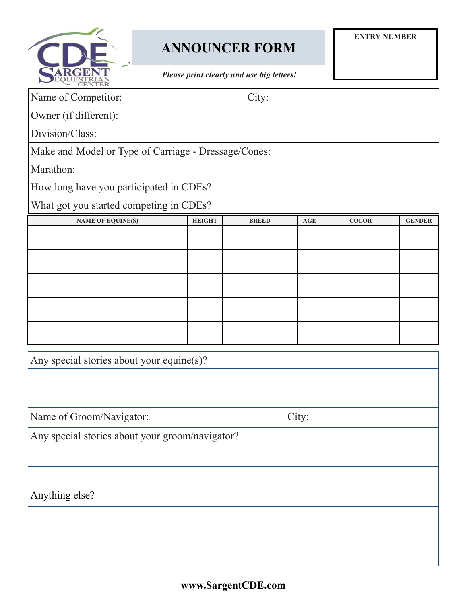

# **ANNOUNCER FORM**

*Please print clearly and use big letters!*

| BQUESTRIAN                                           |               |              |            |              |               |  |  |  |  |
|------------------------------------------------------|---------------|--------------|------------|--------------|---------------|--|--|--|--|
| Name of Competitor:                                  | City:         |              |            |              |               |  |  |  |  |
| Owner (if different):                                |               |              |            |              |               |  |  |  |  |
| Division/Class:                                      |               |              |            |              |               |  |  |  |  |
| Make and Model or Type of Carriage - Dressage/Cones: |               |              |            |              |               |  |  |  |  |
| Marathon:                                            |               |              |            |              |               |  |  |  |  |
| How long have you participated in CDEs?              |               |              |            |              |               |  |  |  |  |
| What got you started competing in CDEs?              |               |              |            |              |               |  |  |  |  |
| <b>NAME OF EQUINE(S)</b>                             | <b>HEIGHT</b> | <b>BREED</b> | <b>AGE</b> | <b>COLOR</b> | <b>GENDER</b> |  |  |  |  |
|                                                      |               |              |            |              |               |  |  |  |  |
|                                                      |               |              |            |              |               |  |  |  |  |
|                                                      |               |              |            |              |               |  |  |  |  |
|                                                      |               |              |            |              |               |  |  |  |  |
|                                                      |               |              |            |              |               |  |  |  |  |
|                                                      |               |              |            |              |               |  |  |  |  |
| Any special stories about your equine(s)?            |               |              |            |              |               |  |  |  |  |
|                                                      |               |              |            |              |               |  |  |  |  |
|                                                      |               |              |            |              |               |  |  |  |  |
| Name of Groom/Navigator:<br>City:                    |               |              |            |              |               |  |  |  |  |
| Any special stories about your groom/navigator?      |               |              |            |              |               |  |  |  |  |
|                                                      |               |              |            |              |               |  |  |  |  |
|                                                      |               |              |            |              |               |  |  |  |  |
| Anything else?                                       |               |              |            |              |               |  |  |  |  |
|                                                      |               |              |            |              |               |  |  |  |  |

**www.SargentCDE.com**